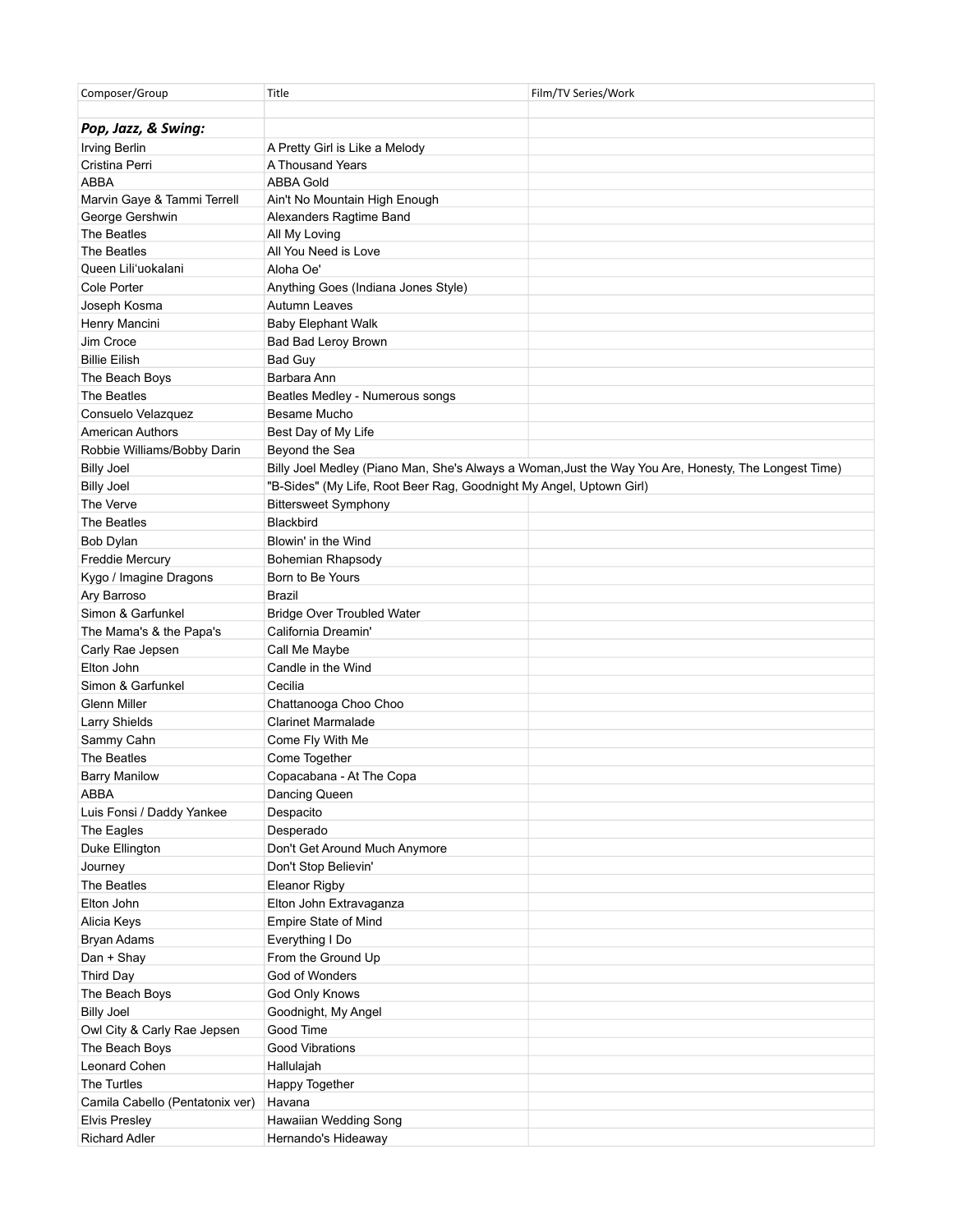| Composer/Group                  | Title                                                               | Film/TV Series/Work                                                                                  |
|---------------------------------|---------------------------------------------------------------------|------------------------------------------------------------------------------------------------------|
| Pop, Jazz, & Swing:             |                                                                     |                                                                                                      |
| <b>Irving Berlin</b>            | A Pretty Girl is Like a Melody                                      |                                                                                                      |
| Cristina Perri                  | A Thousand Years                                                    |                                                                                                      |
| <b>ABBA</b>                     | <b>ABBA Gold</b>                                                    |                                                                                                      |
| Marvin Gaye & Tammi Terrell     | Ain't No Mountain High Enough                                       |                                                                                                      |
| George Gershwin                 | Alexanders Ragtime Band                                             |                                                                                                      |
| The Beatles                     | All My Loving                                                       |                                                                                                      |
| The Beatles                     | All You Need is Love                                                |                                                                                                      |
| Queen Lili'uokalani             | Aloha Oe'                                                           |                                                                                                      |
| Cole Porter                     | Anything Goes (Indiana Jones Style)                                 |                                                                                                      |
| Joseph Kosma                    | Autumn Leaves                                                       |                                                                                                      |
| Henry Mancini                   | <b>Baby Elephant Walk</b>                                           |                                                                                                      |
| Jim Croce                       | Bad Bad Leroy Brown                                                 |                                                                                                      |
| <b>Billie Eilish</b>            | <b>Bad Guy</b>                                                      |                                                                                                      |
| The Beach Boys                  | Barbara Ann                                                         |                                                                                                      |
| The Beatles                     | Beatles Medley - Numerous songs                                     |                                                                                                      |
| Consuelo Velazquez              | Besame Mucho                                                        |                                                                                                      |
| <b>American Authors</b>         | Best Day of My Life                                                 |                                                                                                      |
| Robbie Williams/Bobby Darin     | Beyond the Sea                                                      |                                                                                                      |
| <b>Billy Joel</b>               |                                                                     | Billy Joel Medley (Piano Man, She's Always a Woman, Just the Way You Are, Honesty, The Longest Time) |
| <b>Billy Joel</b>               | "B-Sides" (My Life, Root Beer Rag, Goodnight My Angel, Uptown Girl) |                                                                                                      |
| The Verve                       | <b>Bittersweet Symphony</b>                                         |                                                                                                      |
| The Beatles                     | Blackbird                                                           |                                                                                                      |
| Bob Dylan                       | Blowin' in the Wind                                                 |                                                                                                      |
| <b>Freddie Mercury</b>          | Bohemian Rhapsody                                                   |                                                                                                      |
| Kygo / Imagine Dragons          | Born to Be Yours                                                    |                                                                                                      |
| Ary Barroso                     | Brazil                                                              |                                                                                                      |
| Simon & Garfunkel               | <b>Bridge Over Troubled Water</b>                                   |                                                                                                      |
| The Mama's & the Papa's         | California Dreamin'                                                 |                                                                                                      |
| Carly Rae Jepsen                | Call Me Maybe                                                       |                                                                                                      |
| Elton John                      | Candle in the Wind                                                  |                                                                                                      |
| Simon & Garfunkel               | Cecilia                                                             |                                                                                                      |
| Glenn Miller                    | Chattanooga Choo Choo                                               |                                                                                                      |
|                                 | <b>Clarinet Marmalade</b>                                           |                                                                                                      |
| Larry Shields                   |                                                                     |                                                                                                      |
| Sammy Cahn                      | Come Fly With Me                                                    |                                                                                                      |
| The Beatles                     | Come Together                                                       |                                                                                                      |
| <b>Barry Manilow</b>            | Copacabana - At The Copa                                            |                                                                                                      |
| ABBA                            | Dancing Queen                                                       |                                                                                                      |
| Luis Fonsi / Daddy Yankee       | Despacito                                                           |                                                                                                      |
| The Eagles                      | Desperado                                                           |                                                                                                      |
| Duke Ellington                  | Don't Get Around Much Anymore                                       |                                                                                                      |
| Journey                         | Don't Stop Believin'                                                |                                                                                                      |
| The Beatles                     | <b>Eleanor Rigby</b>                                                |                                                                                                      |
| Elton John                      | Elton John Extravaganza                                             |                                                                                                      |
| Alicia Keys                     | Empire State of Mind                                                |                                                                                                      |
| Bryan Adams                     | Everything I Do                                                     |                                                                                                      |
| Dan + Shay                      | From the Ground Up                                                  |                                                                                                      |
| Third Day                       | God of Wonders                                                      |                                                                                                      |
| The Beach Boys                  | God Only Knows                                                      |                                                                                                      |
| <b>Billy Joel</b>               | Goodnight, My Angel                                                 |                                                                                                      |
| Owl City & Carly Rae Jepsen     | Good Time                                                           |                                                                                                      |
| The Beach Boys                  | Good Vibrations                                                     |                                                                                                      |
| Leonard Cohen                   | Hallulajah                                                          |                                                                                                      |
| The Turtles                     | Happy Together                                                      |                                                                                                      |
| Camila Cabello (Pentatonix ver) | Havana                                                              |                                                                                                      |
| <b>Elvis Presley</b>            | Hawaiian Wedding Song                                               |                                                                                                      |
| <b>Richard Adler</b>            | Hernando's Hideaway                                                 |                                                                                                      |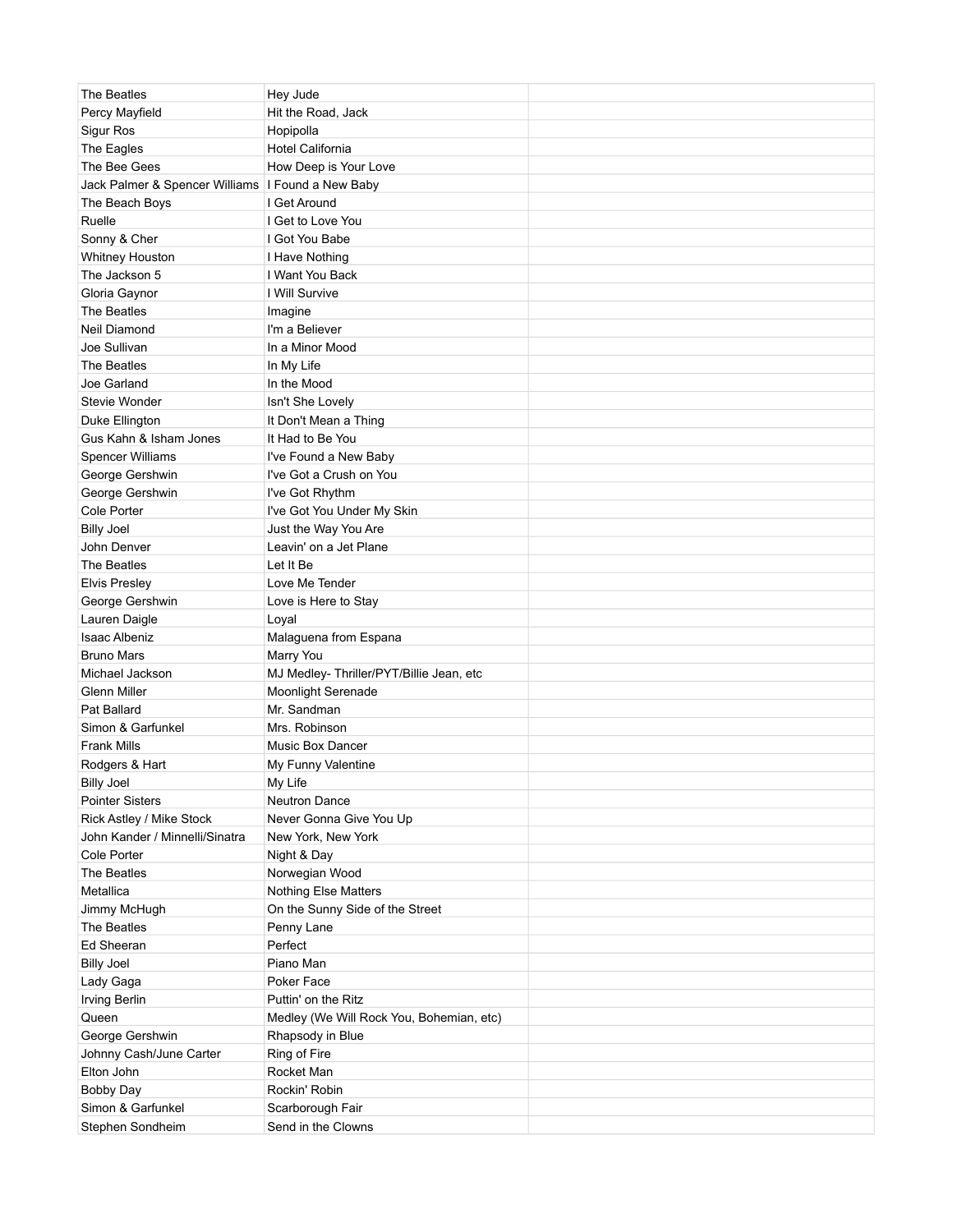| The Beatles                                       | Hey Jude                                 |  |
|---------------------------------------------------|------------------------------------------|--|
| Percy Mayfield                                    | Hit the Road, Jack                       |  |
| Sigur Ros                                         | Hopipolla                                |  |
| The Eagles                                        | Hotel California                         |  |
| The Bee Gees                                      | How Deep is Your Love                    |  |
| Jack Palmer & Spencer Williams   Found a New Baby |                                          |  |
| The Beach Boys                                    | I Get Around                             |  |
| Ruelle                                            | I Get to Love You                        |  |
| Sonny & Cher                                      | I Got You Babe                           |  |
| Whitney Houston                                   | I Have Nothing                           |  |
| The Jackson 5                                     | I Want You Back                          |  |
| Gloria Gaynor                                     | I Will Survive                           |  |
| The Beatles                                       | Imagine                                  |  |
| Neil Diamond                                      | I'm a Believer                           |  |
| Joe Sullivan                                      | In a Minor Mood                          |  |
| The Beatles                                       | In My Life                               |  |
| Joe Garland                                       | In the Mood                              |  |
| Stevie Wonder                                     | Isn't She Lovely                         |  |
| Duke Ellington                                    | It Don't Mean a Thing                    |  |
| Gus Kahn & Isham Jones                            | It Had to Be You                         |  |
| <b>Spencer Williams</b>                           | I've Found a New Baby                    |  |
| George Gershwin                                   | I've Got a Crush on You                  |  |
| George Gershwin                                   | I've Got Rhythm                          |  |
| Cole Porter                                       | I've Got You Under My Skin               |  |
| <b>Billy Joel</b>                                 | Just the Way You Are                     |  |
| John Denver                                       | Leavin' on a Jet Plane                   |  |
| The Beatles                                       | Let It Be                                |  |
| <b>Elvis Presley</b>                              | Love Me Tender                           |  |
| George Gershwin                                   | Love is Here to Stay                     |  |
| Lauren Daigle                                     | Loyal                                    |  |
| <b>Isaac Albeniz</b>                              | Malaguena from Espana                    |  |
| <b>Bruno Mars</b>                                 | Marry You                                |  |
| Michael Jackson                                   | MJ Medley-Thriller/PYT/Billie Jean, etc  |  |
| Glenn Miller                                      | Moonlight Serenade                       |  |
| Pat Ballard                                       | Mr. Sandman                              |  |
| Simon & Garfunkel                                 | Mrs. Robinson                            |  |
| <b>Frank Mills</b>                                | <b>Music Box Dancer</b>                  |  |
| Rodgers & Hart                                    | My Funny Valentine                       |  |
| <b>Billy Joel</b>                                 | My Life                                  |  |
| <b>Pointer Sisters</b>                            | <b>Neutron Dance</b>                     |  |
| Rick Astley / Mike Stock                          | Never Gonna Give You Up                  |  |
| John Kander / Minnelli/Sinatra                    | New York, New York                       |  |
| Cole Porter                                       | Night & Day                              |  |
| The Beatles                                       | Norwegian Wood                           |  |
| Metallica                                         | <b>Nothing Else Matters</b>              |  |
| Jimmy McHugh                                      | On the Sunny Side of the Street          |  |
| The Beatles                                       | Penny Lane                               |  |
| Ed Sheeran                                        | Perfect                                  |  |
| <b>Billy Joel</b>                                 | Piano Man                                |  |
| Lady Gaga                                         | Poker Face                               |  |
| <b>Irving Berlin</b>                              | Puttin' on the Ritz                      |  |
| Queen                                             | Medley (We Will Rock You, Bohemian, etc) |  |
| George Gershwin                                   | Rhapsody in Blue                         |  |
| Johnny Cash/June Carter                           | Ring of Fire                             |  |
| Elton John                                        | Rocket Man                               |  |
| <b>Bobby Day</b>                                  | Rockin' Robin                            |  |
| Simon & Garfunkel                                 | Scarborough Fair                         |  |
| Stephen Sondheim                                  | Send in the Clowns                       |  |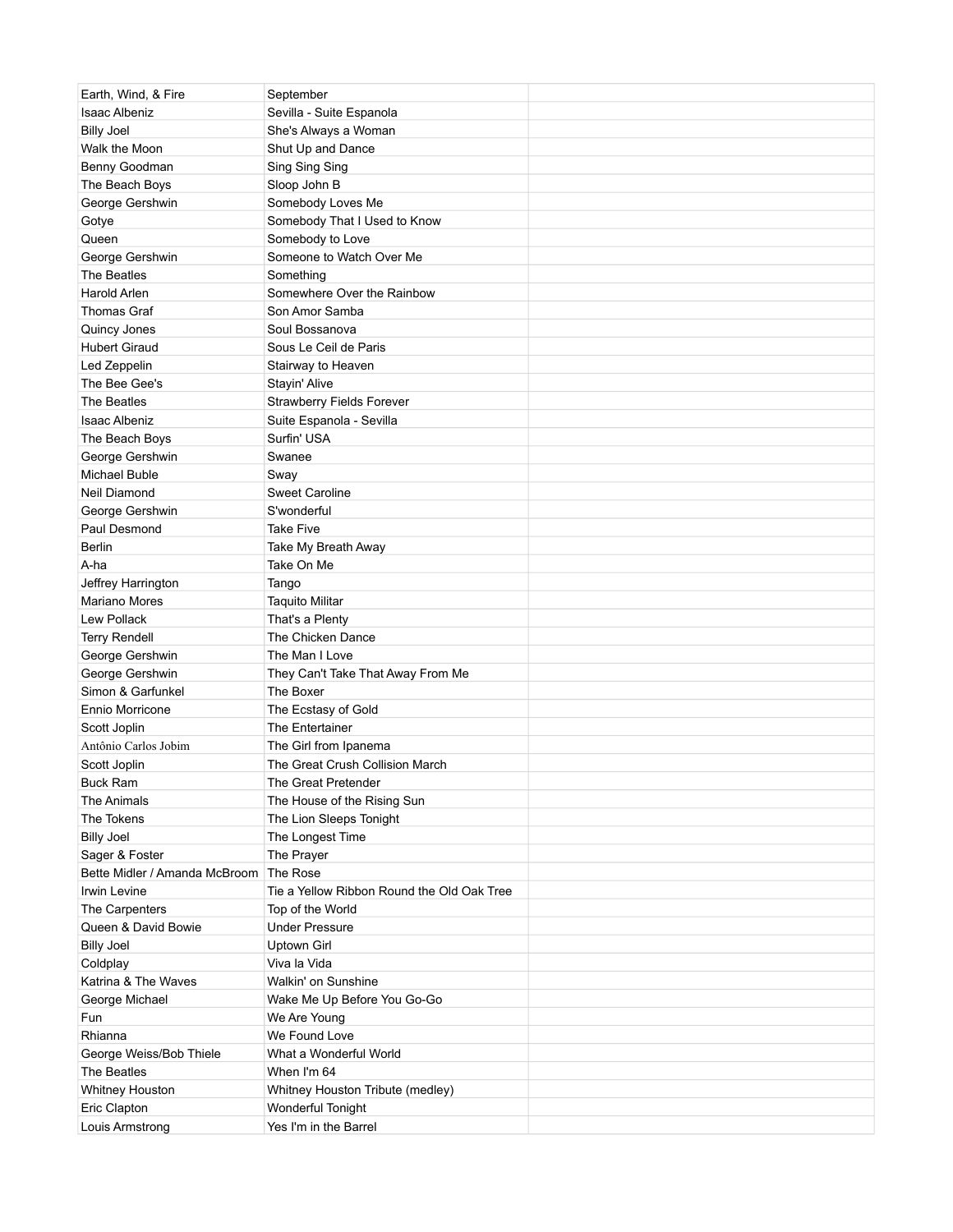| Earth, Wind, & Fire           | September                                  |  |
|-------------------------------|--------------------------------------------|--|
| <b>Isaac Albeniz</b>          | Sevilla - Suite Espanola                   |  |
| <b>Billy Joel</b>             | She's Always a Woman                       |  |
| Walk the Moon                 | Shut Up and Dance                          |  |
| Benny Goodman                 | Sing Sing Sing                             |  |
| The Beach Boys                | Sloop John B                               |  |
| George Gershwin               | Somebody Loves Me                          |  |
| Gotye                         | Somebody That I Used to Know               |  |
| Queen                         | Somebody to Love                           |  |
| George Gershwin               | Someone to Watch Over Me                   |  |
| The Beatles                   | Something                                  |  |
| Harold Arlen                  | Somewhere Over the Rainbow                 |  |
| <b>Thomas Graf</b>            | Son Amor Samba                             |  |
| Quincy Jones                  | Soul Bossanova                             |  |
| <b>Hubert Giraud</b>          | Sous Le Ceil de Paris                      |  |
| Led Zeppelin                  | Stairway to Heaven                         |  |
| The Bee Gee's                 | Stayin' Alive                              |  |
| The Beatles                   | <b>Strawberry Fields Forever</b>           |  |
| <b>Isaac Albeniz</b>          | Suite Espanola - Sevilla                   |  |
| The Beach Boys                | Surfin' USA                                |  |
| George Gershwin               | Swanee                                     |  |
| Michael Buble                 | Sway                                       |  |
| Neil Diamond                  | <b>Sweet Caroline</b>                      |  |
| George Gershwin               | S'wonderful                                |  |
| Paul Desmond                  | <b>Take Five</b>                           |  |
| Berlin                        | Take My Breath Away                        |  |
| A-ha                          | Take On Me                                 |  |
| Jeffrey Harrington            | Tango                                      |  |
| <b>Mariano Mores</b>          | <b>Taquito Militar</b>                     |  |
| Lew Pollack                   | That's a Plenty                            |  |
| <b>Terry Rendell</b>          | The Chicken Dance                          |  |
| George Gershwin               | The Man I Love                             |  |
| George Gershwin               | They Can't Take That Away From Me          |  |
| Simon & Garfunkel             | The Boxer                                  |  |
| Ennio Morricone               | The Ecstasy of Gold                        |  |
| Scott Joplin                  | The Entertainer                            |  |
| Antônio Carlos Jobim          | The Girl from Ipanema                      |  |
| Scott Joplin                  | The Great Crush Collision March            |  |
| <b>Buck Ram</b>               | The Great Pretender                        |  |
| The Animals                   | The House of the Rising Sun                |  |
| The Tokens                    | The Lion Sleeps Tonight                    |  |
| <b>Billy Joel</b>             | The Longest Time                           |  |
| Sager & Foster                | The Prayer                                 |  |
| Bette Midler / Amanda McBroom | The Rose                                   |  |
| Irwin Levine                  | Tie a Yellow Ribbon Round the Old Oak Tree |  |
| The Carpenters                | Top of the World                           |  |
| Queen & David Bowie           | <b>Under Pressure</b>                      |  |
| <b>Billy Joel</b>             | <b>Uptown Girl</b>                         |  |
| Coldplay                      | Viva la Vida                               |  |
| Katrina & The Waves           | Walkin' on Sunshine                        |  |
| George Michael                | Wake Me Up Before You Go-Go                |  |
| Fun                           | We Are Young                               |  |
| Rhianna                       | We Found Love                              |  |
| George Weiss/Bob Thiele       | What a Wonderful World                     |  |
| The Beatles                   | When I'm 64                                |  |
| Whitney Houston               | Whitney Houston Tribute (medley)           |  |
| Eric Clapton                  | Wonderful Tonight                          |  |
| Louis Armstrong               | Yes I'm in the Barrel                      |  |
|                               |                                            |  |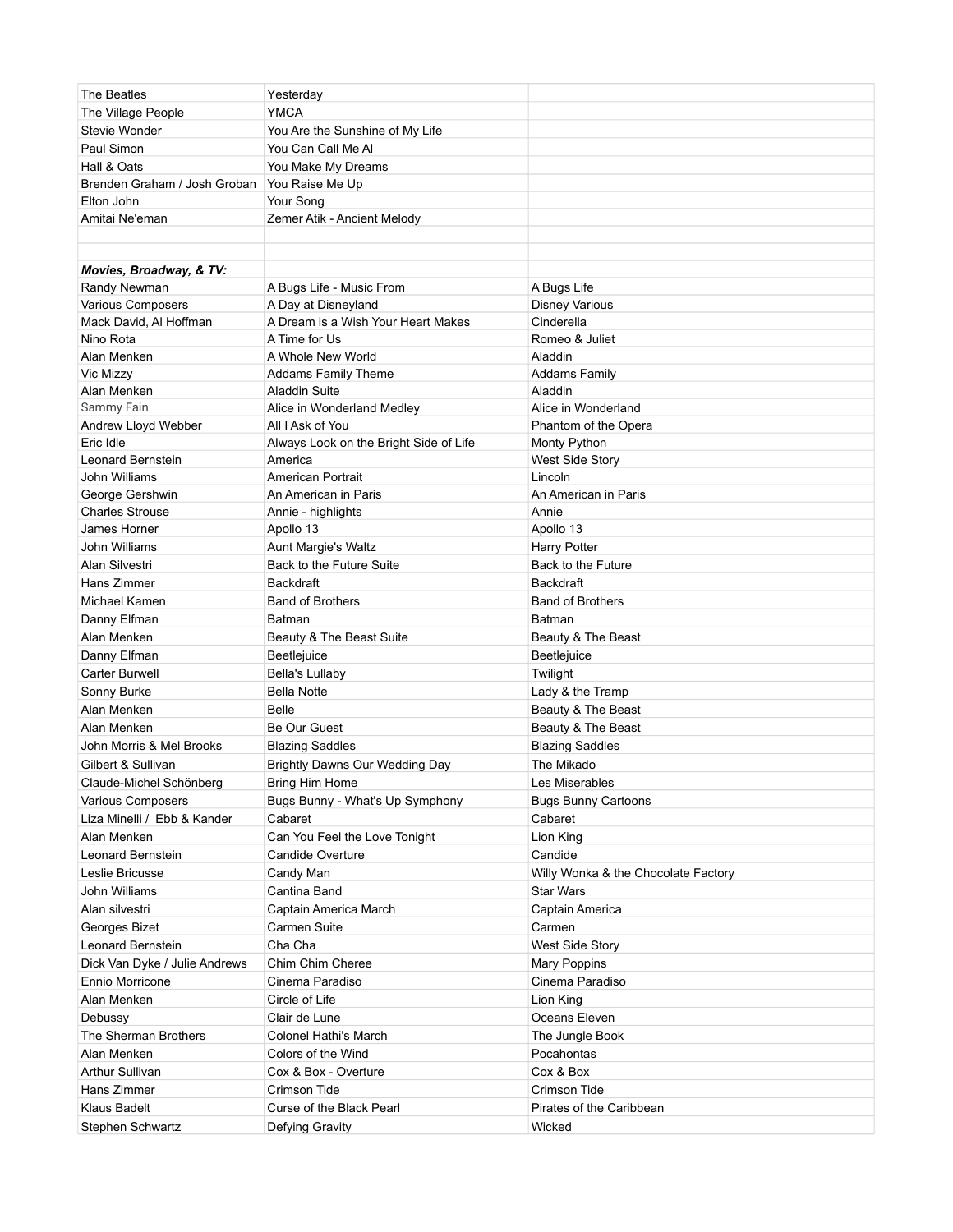| The Beatles                   | Yesterday                              |                                     |
|-------------------------------|----------------------------------------|-------------------------------------|
| The Village People            | <b>YMCA</b>                            |                                     |
| Stevie Wonder                 | You Are the Sunshine of My Life        |                                     |
| Paul Simon                    | You Can Call Me Al                     |                                     |
| Hall & Oats                   | You Make My Dreams                     |                                     |
| Brenden Graham / Josh Groban  | You Raise Me Up                        |                                     |
| Elton John                    | Your Song                              |                                     |
| Amitai Ne'eman                | Zemer Atik - Ancient Melody            |                                     |
|                               |                                        |                                     |
|                               |                                        |                                     |
| Movies, Broadway, & TV:       |                                        |                                     |
| Randy Newman                  | A Bugs Life - Music From               | A Bugs Life                         |
| Various Composers             | A Day at Disneyland                    | <b>Disney Various</b>               |
| Mack David, Al Hoffman        | A Dream is a Wish Your Heart Makes     | Cinderella                          |
| Nino Rota                     | A Time for Us                          | Romeo & Juliet                      |
| Alan Menken                   | A Whole New World                      | Aladdin                             |
| Vic Mizzy                     | <b>Addams Family Theme</b>             | <b>Addams Family</b>                |
| Alan Menken                   | <b>Aladdin Suite</b>                   | Aladdin                             |
| Sammy Fain                    | Alice in Wonderland Medley             | Alice in Wonderland                 |
| Andrew Lloyd Webber           | All I Ask of You                       | Phantom of the Opera                |
| Eric Idle                     | Always Look on the Bright Side of Life | Monty Python                        |
| Leonard Bernstein             | America                                | West Side Story                     |
| John Williams                 | American Portrait                      | Lincoln                             |
| George Gershwin               | An American in Paris                   | An American in Paris                |
| <b>Charles Strouse</b>        | Annie - highlights                     | Annie                               |
| James Horner                  | Apollo 13                              | Apollo 13                           |
| John Williams                 | Aunt Margie's Waltz                    | Harry Potter                        |
| Alan Silvestri                | Back to the Future Suite               | Back to the Future                  |
| Hans Zimmer                   | Backdraft                              | <b>Backdraft</b>                    |
| Michael Kamen                 | <b>Band of Brothers</b>                | <b>Band of Brothers</b>             |
| Danny Elfman                  | Batman                                 | Batman                              |
| Alan Menken                   | Beauty & The Beast Suite               | Beauty & The Beast                  |
| Danny Elfman                  | Beetlejuice                            | Beetlejuice                         |
| Carter Burwell                | <b>Bella's Lullaby</b>                 | Twilight                            |
| Sonny Burke                   | <b>Bella Notte</b>                     | Lady & the Tramp                    |
| Alan Menken                   | Belle                                  | Beauty & The Beast                  |
| Alan Menken                   | <b>Be Our Guest</b>                    | Beauty & The Beast                  |
| John Morris & Mel Brooks      | <b>Blazing Saddles</b>                 | <b>Blazing Saddles</b>              |
| Gilbert & Sullivan            | Brightly Dawns Our Wedding Day         | The Mikado                          |
| Claude-Michel Schönberg       | Bring Him Home                         | Les Miserables                      |
| <b>Various Composers</b>      | Bugs Bunny - What's Up Symphony        | <b>Bugs Bunny Cartoons</b>          |
| Liza Minelli / Ebb & Kander   | Cabaret                                | Cabaret                             |
| Alan Menken                   | Can You Feel the Love Tonight          | Lion King                           |
| Leonard Bernstein             | Candide Overture                       | Candide                             |
| Leslie Bricusse               | Candy Man                              | Willy Wonka & the Chocolate Factory |
| John Williams                 | Cantina Band                           | Star Wars                           |
| Alan silvestri                | Captain America March                  | Captain America                     |
| Georges Bizet                 | Carmen Suite                           | Carmen                              |
| <b>Leonard Bernstein</b>      | Cha Cha                                | West Side Story                     |
| Dick Van Dyke / Julie Andrews | Chim Chim Cheree                       | Mary Poppins                        |
|                               | Cinema Paradiso                        | Cinema Paradiso                     |
| Ennio Morricone               |                                        |                                     |
| Alan Menken                   | Circle of Life                         | Lion King                           |
| Debussy                       | Clair de Lune                          | Oceans Eleven                       |
| The Sherman Brothers          | Colonel Hathi's March                  | The Jungle Book                     |
| Alan Menken                   | Colors of the Wind                     | Pocahontas                          |
| <b>Arthur Sullivan</b>        | Cox & Box - Overture                   | Cox & Box                           |
| Hans Zimmer                   | Crimson Tide                           | Crimson Tide                        |
| Klaus Badelt                  | Curse of the Black Pearl               | Pirates of the Caribbean            |
| Stephen Schwartz              | Defying Gravity                        | Wicked                              |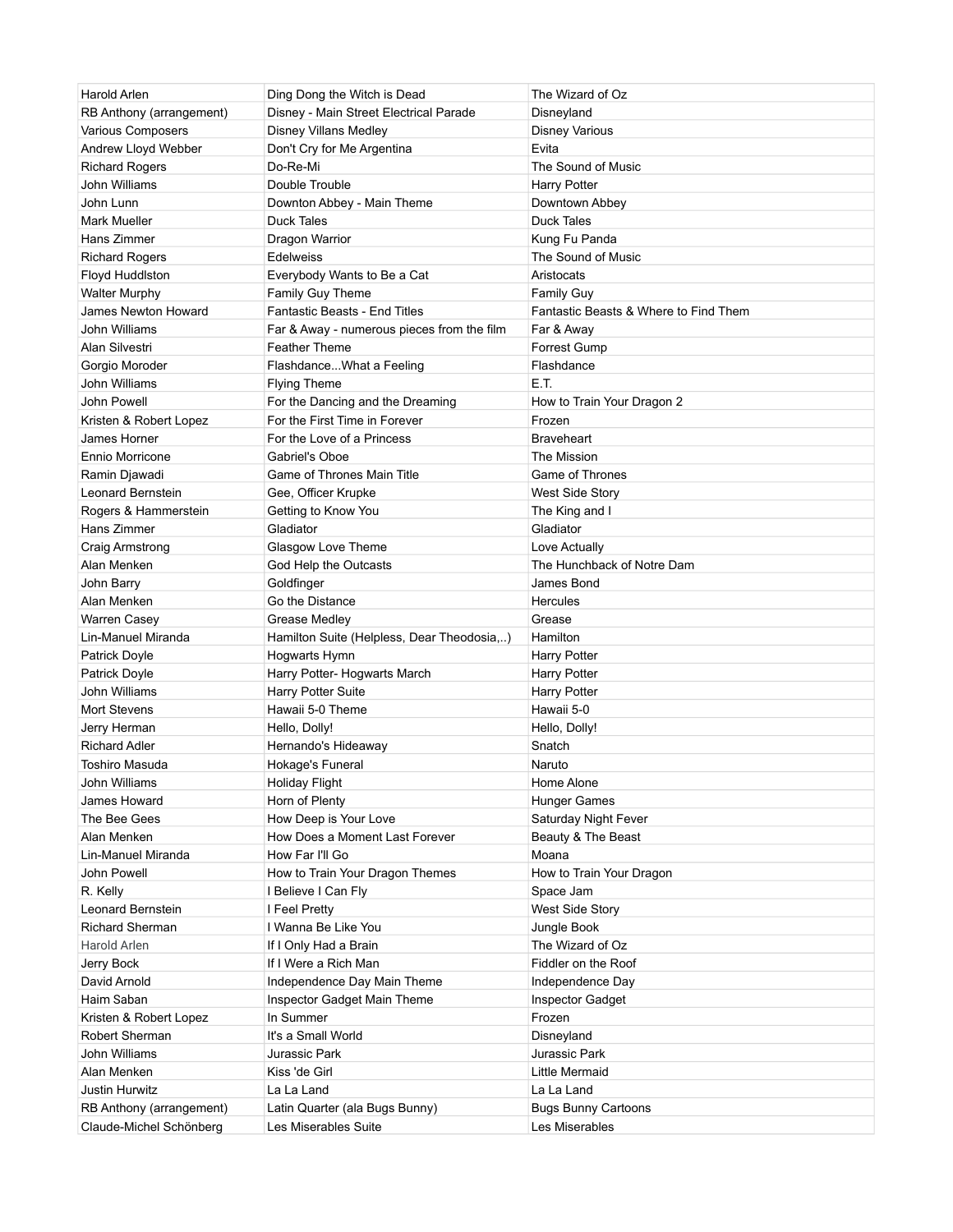| Harold Arlen                                        | Ding Dong the Witch is Dead                            | The Wizard of Oz                             |
|-----------------------------------------------------|--------------------------------------------------------|----------------------------------------------|
| RB Anthony (arrangement)                            | Disney - Main Street Electrical Parade                 | Disneyland                                   |
| Various Composers                                   | Disney Villans Medley                                  | <b>Disney Various</b>                        |
| Andrew Lloyd Webber                                 | Don't Cry for Me Argentina                             | Evita                                        |
| <b>Richard Rogers</b>                               | Do-Re-Mi                                               | The Sound of Music                           |
| John Williams                                       | Double Trouble                                         | Harry Potter                                 |
| John Lunn                                           | Downton Abbey - Main Theme                             | Downtown Abbey                               |
| Mark Mueller                                        | <b>Duck Tales</b>                                      | <b>Duck Tales</b>                            |
| Hans Zimmer                                         | Dragon Warrior                                         | Kung Fu Panda                                |
| <b>Richard Rogers</b>                               | <b>Edelweiss</b>                                       | The Sound of Music                           |
| Floyd Huddlston                                     | Everybody Wants to Be a Cat                            | Aristocats                                   |
| <b>Walter Murphy</b>                                | Family Guy Theme                                       | <b>Family Guy</b>                            |
| James Newton Howard                                 | <b>Fantastic Beasts - End Titles</b>                   | Fantastic Beasts & Where to Find Them        |
| John Williams                                       | Far & Away - numerous pieces from the film             | Far & Away                                   |
| Alan Silvestri                                      | <b>Feather Theme</b>                                   | Forrest Gump                                 |
| Gorgio Moroder                                      | FlashdanceWhat a Feeling                               | Flashdance                                   |
| John Williams                                       | <b>Flying Theme</b>                                    | E.T.                                         |
| John Powell                                         | For the Dancing and the Dreaming                       |                                              |
| Kristen & Robert Lopez                              | For the First Time in Forever                          | How to Train Your Dragon 2<br>Frozen         |
|                                                     |                                                        |                                              |
| James Horner                                        | For the Love of a Princess                             | <b>Braveheart</b>                            |
| Ennio Morricone                                     | Gabriel's Oboe                                         | The Mission                                  |
| Ramin Djawadi                                       | Game of Thrones Main Title                             | Game of Thrones                              |
| Leonard Bernstein                                   | Gee, Officer Krupke                                    | West Side Story                              |
| Rogers & Hammerstein                                | Getting to Know You                                    | The King and I                               |
| Hans Zimmer                                         | Gladiator                                              | Gladiator                                    |
| Craig Armstrong                                     | Glasgow Love Theme                                     | Love Actually                                |
| Alan Menken                                         | God Help the Outcasts                                  | The Hunchback of Notre Dam                   |
| John Barry                                          | Goldfinger                                             | James Bond                                   |
| Alan Menken                                         | Go the Distance                                        | Hercules                                     |
|                                                     |                                                        |                                              |
| Warren Casey                                        | Grease Medley                                          | Grease                                       |
| Lin-Manuel Miranda                                  | Hamilton Suite (Helpless, Dear Theodosia,)             | Hamilton                                     |
| Patrick Doyle                                       | <b>Hogwarts Hymn</b>                                   | Harry Potter                                 |
| Patrick Doyle                                       | Harry Potter- Hogwarts March                           | <b>Harry Potter</b>                          |
| John Williams                                       | Harry Potter Suite                                     | <b>Harry Potter</b>                          |
| Mort Stevens                                        | Hawaii 5-0 Theme                                       | Hawaii 5-0                                   |
| Jerry Herman                                        | Hello, Dolly!                                          | Hello, Dolly!                                |
| <b>Richard Adler</b>                                | Hernando's Hideaway                                    | Snatch                                       |
| Toshiro Masuda                                      | Hokage's Funeral                                       | Naruto                                       |
| John Williams                                       | <b>Holiday Flight</b>                                  | Home Alone                                   |
| James Howard                                        | Horn of Plenty                                         | <b>Hunger Games</b>                          |
| The Bee Gees                                        | How Deep is Your Love                                  | Saturday Night Fever                         |
| Alan Menken                                         | How Does a Moment Last Forever                         | Beauty & The Beast                           |
| Lin-Manuel Miranda                                  | How Far I'll Go                                        | Moana                                        |
| John Powell                                         |                                                        |                                              |
|                                                     | How to Train Your Dragon Themes                        | How to Train Your Dragon                     |
| R. Kelly<br>Leonard Bernstein                       | I Believe I Can Fly                                    | Space Jam                                    |
|                                                     | I Feel Pretty                                          | West Side Story                              |
| <b>Richard Sherman</b>                              | I Wanna Be Like You                                    | Jungle Book                                  |
| Harold Arlen                                        | If I Only Had a Brain                                  | The Wizard of Oz                             |
| Jerry Bock                                          | If I Were a Rich Man                                   | Fiddler on the Roof                          |
| David Arnold                                        | Independence Day Main Theme                            | Independence Day                             |
| Haim Saban                                          | Inspector Gadget Main Theme                            | <b>Inspector Gadget</b>                      |
| Kristen & Robert Lopez                              | In Summer                                              | Frozen                                       |
| Robert Sherman                                      | It's a Small World                                     | Disneyland                                   |
| John Williams                                       | Jurassic Park                                          | Jurassic Park                                |
| Alan Menken                                         | Kiss 'de Girl                                          | Little Mermaid                               |
| Justin Hurwitz                                      | La La Land                                             | La La Land                                   |
| RB Anthony (arrangement)<br>Claude-Michel Schönberg | Latin Quarter (ala Bugs Bunny)<br>Les Miserables Suite | <b>Bugs Bunny Cartoons</b><br>Les Miserables |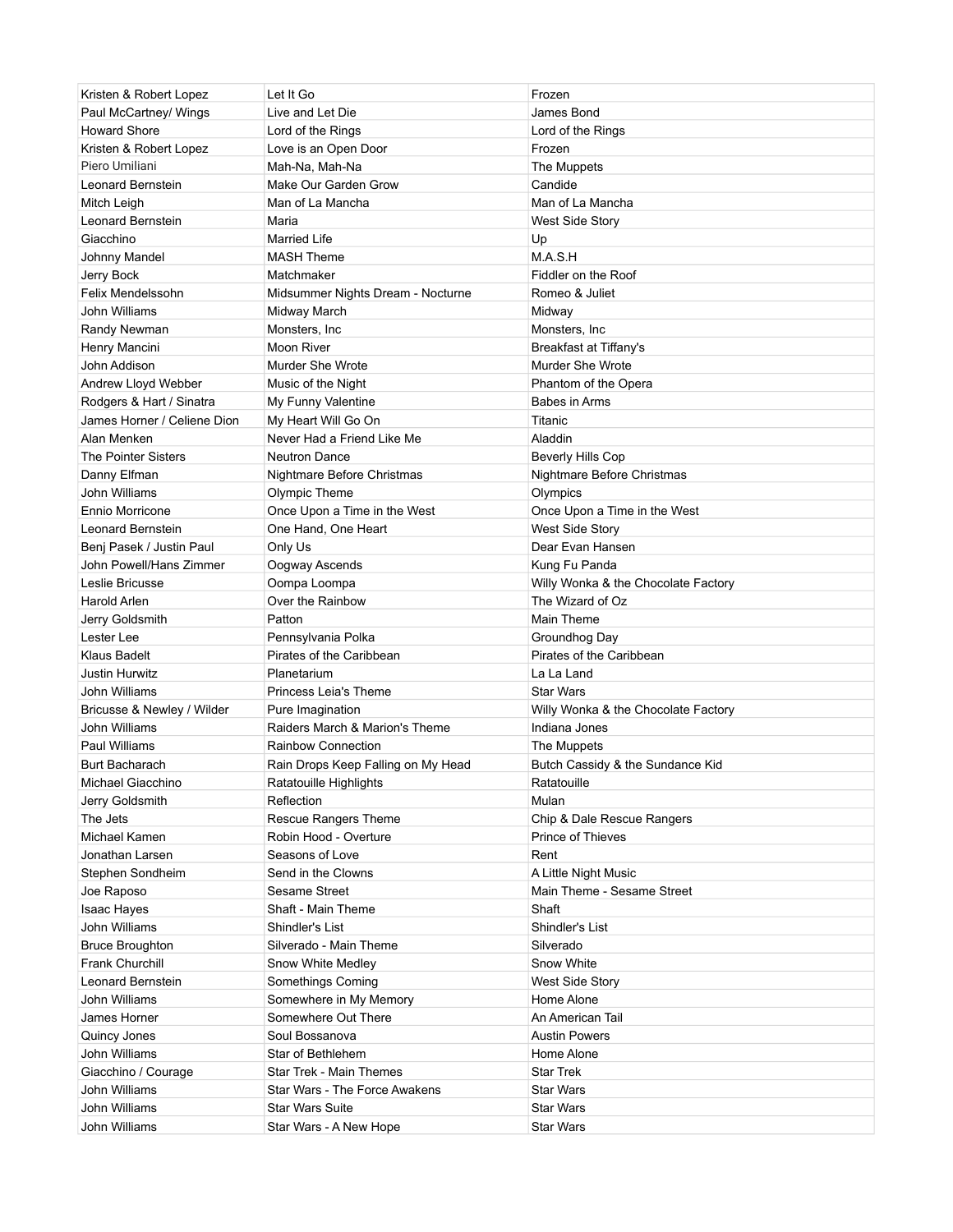| Kristen & Robert Lopez      | Let It Go                          | Frozen                              |
|-----------------------------|------------------------------------|-------------------------------------|
| Paul McCartney/ Wings       | Live and Let Die                   | James Bond                          |
| <b>Howard Shore</b>         | Lord of the Rings                  | Lord of the Rings                   |
| Kristen & Robert Lopez      | Love is an Open Door               | Frozen                              |
| Piero Umiliani              | Mah-Na, Mah-Na                     | The Muppets                         |
| Leonard Bernstein           | Make Our Garden Grow               | Candide                             |
| Mitch Leigh                 | Man of La Mancha                   | Man of La Mancha                    |
| Leonard Bernstein           | Maria                              | West Side Story                     |
| Giacchino                   | <b>Married Life</b>                | Up                                  |
| Johnny Mandel               | <b>MASH Theme</b>                  | M.A.S.H                             |
| Jerry Bock                  | Matchmaker                         | Fiddler on the Roof                 |
| Felix Mendelssohn           | Midsummer Nights Dream - Nocturne  | Romeo & Juliet                      |
| John Williams               | Midway March                       | Midway                              |
| Randy Newman                | Monsters, Inc.                     | Monsters, Inc                       |
| Henry Mancini               | Moon River                         | Breakfast at Tiffany's              |
| John Addison                | Murder She Wrote                   | Murder She Wrote                    |
| Andrew Lloyd Webber         | Music of the Night                 | Phantom of the Opera                |
| Rodgers & Hart / Sinatra    | My Funny Valentine                 | Babes in Arms                       |
| James Horner / Celiene Dion | My Heart Will Go On                | Titanic                             |
| Alan Menken                 | Never Had a Friend Like Me         | Aladdin                             |
| <b>The Pointer Sisters</b>  | <b>Neutron Dance</b>               | <b>Beverly Hills Cop</b>            |
| Danny Elfman                | Nightmare Before Christmas         | Nightmare Before Christmas          |
| John Williams               | Olympic Theme                      | Olympics                            |
| <b>Ennio Morricone</b>      | Once Upon a Time in the West       | Once Upon a Time in the West        |
| Leonard Bernstein           | One Hand, One Heart                | West Side Story                     |
| Benj Pasek / Justin Paul    | Only Us                            | Dear Evan Hansen                    |
| John Powell/Hans Zimmer     | Oogway Ascends                     | Kung Fu Panda                       |
| Leslie Bricusse             | Oompa Loompa                       | Willy Wonka & the Chocolate Factory |
| <b>Harold Arlen</b>         | Over the Rainbow                   | The Wizard of Oz                    |
| Jerry Goldsmith             | Patton                             | Main Theme                          |
| Lester Lee                  | Pennsylvania Polka                 | Groundhog Day                       |
| <b>Klaus Badelt</b>         | Pirates of the Caribbean           | Pirates of the Caribbean            |
| Justin Hurwitz              | Planetarium                        | La La Land                          |
| John Williams               | Princess Leia's Theme              | <b>Star Wars</b>                    |
| Bricusse & Newley / Wilder  | Pure Imagination                   | Willy Wonka & the Chocolate Factory |
| John Williams               | Raiders March & Marion's Theme     | Indiana Jones                       |
| Paul Williams               | <b>Rainbow Connection</b>          | The Muppets                         |
| <b>Burt Bacharach</b>       | Rain Drops Keep Falling on My Head | Butch Cassidy & the Sundance Kid    |
| Michael Giacchino           | Ratatouille Highlights             | Ratatouille                         |
| Jerry Goldsmith             | Reflection                         | Mulan                               |
| The Jets                    | Rescue Rangers Theme               | Chip & Dale Rescue Rangers          |
| Michael Kamen               | Robin Hood - Overture              | Prince of Thieves                   |
| Jonathan Larsen             | Seasons of Love                    | Rent                                |
| Stephen Sondheim            | Send in the Clowns                 | A Little Night Music                |
| Joe Raposo                  | Sesame Street                      | Main Theme - Sesame Street          |
| Isaac Hayes                 | Shaft - Main Theme                 | Shaft                               |
| John Williams               | Shindler's List                    | Shindler's List                     |
| <b>Bruce Broughton</b>      | Silverado - Main Theme             | Silverado                           |
| <b>Frank Churchill</b>      | Snow White Medley                  | Snow White                          |
| Leonard Bernstein           | Somethings Coming                  | West Side Story                     |
| John Williams               | Somewhere in My Memory             | Home Alone                          |
| James Horner                | Somewhere Out There                | An American Tail                    |
| Quincy Jones                | Soul Bossanova                     | <b>Austin Powers</b>                |
| John Williams               | Star of Bethlehem                  | Home Alone                          |
| Giacchino / Courage         | Star Trek - Main Themes            | <b>Star Trek</b>                    |
| John Williams               | Star Wars - The Force Awakens      | <b>Star Wars</b>                    |
| John Williams               | <b>Star Wars Suite</b>             | <b>Star Wars</b>                    |
| John Williams               | Star Wars - A New Hope             | <b>Star Wars</b>                    |
|                             |                                    |                                     |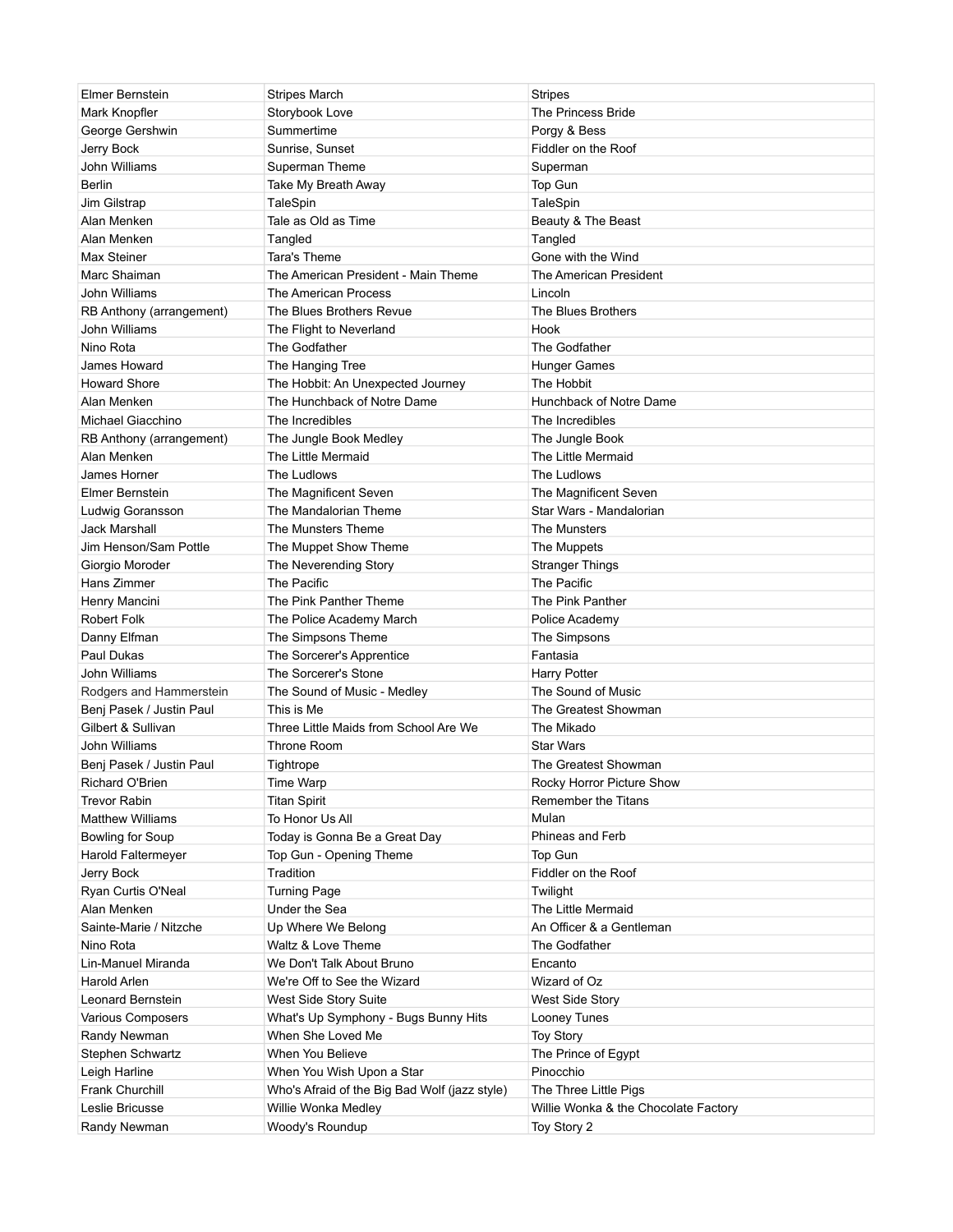| Elmer Bernstein          | <b>Stripes March</b>                          | Stripes                              |
|--------------------------|-----------------------------------------------|--------------------------------------|
| Mark Knopfler            | Storybook Love                                | The Princess Bride                   |
| George Gershwin          | Summertime                                    | Porgy & Bess                         |
| Jerry Bock               | Sunrise, Sunset                               | Fiddler on the Roof                  |
| John Williams            | Superman Theme                                | Superman                             |
| Berlin                   | Take My Breath Away                           | Top Gun                              |
| Jim Gilstrap             | TaleSpin                                      | TaleSpin                             |
| Alan Menken              | Tale as Old as Time                           | Beauty & The Beast                   |
| Alan Menken              | Tangled                                       | Tangled                              |
| Max Steiner              | Tara's Theme                                  | Gone with the Wind                   |
| Marc Shaiman             | The American President - Main Theme           | The American President               |
| John Williams            | The American Process                          | Lincoln                              |
| RB Anthony (arrangement) | The Blues Brothers Revue                      | The Blues Brothers                   |
| John Williams            | The Flight to Neverland                       | Hook                                 |
| Nino Rota                | The Godfather                                 | The Godfather                        |
| James Howard             | The Hanging Tree                              | <b>Hunger Games</b>                  |
| <b>Howard Shore</b>      | The Hobbit: An Unexpected Journey             | The Hobbit                           |
| Alan Menken              | The Hunchback of Notre Dame                   | Hunchback of Notre Dame              |
| Michael Giacchino        | The Incredibles                               | The Incredibles                      |
| RB Anthony (arrangement) | The Jungle Book Medley                        | The Jungle Book                      |
| Alan Menken              | The Little Mermaid                            | The Little Mermaid                   |
| James Horner             | The Ludlows                                   | The Ludlows                          |
| Elmer Bernstein          | The Magnificent Seven                         | The Magnificent Seven                |
| Ludwig Goransson         | The Mandalorian Theme                         | Star Wars - Mandalorian              |
| Jack Marshall            | The Munsters Theme                            | The Munsters                         |
| Jim Henson/Sam Pottle    | The Muppet Show Theme                         | The Muppets                          |
| Giorgio Moroder          | The Neverending Story                         | <b>Stranger Things</b>               |
| Hans Zimmer              | The Pacific                                   | The Pacific                          |
| Henry Mancini            | The Pink Panther Theme                        | The Pink Panther                     |
| <b>Robert Folk</b>       | The Police Academy March                      | Police Academy                       |
| Danny Elfman             | The Simpsons Theme                            | The Simpsons                         |
| Paul Dukas               | The Sorcerer's Apprentice                     | Fantasia                             |
| John Williams            | The Sorcerer's Stone                          | Harry Potter                         |
| Rodgers and Hammerstein  | The Sound of Music - Medley                   | The Sound of Music                   |
| Benj Pasek / Justin Paul | This is Me                                    | The Greatest Showman                 |
| Gilbert & Sullivan       | Three Little Maids from School Are We         | The Mikado                           |
| John Williams            | Throne Room                                   | <b>Star Wars</b>                     |
| Benj Pasek / Justin Paul | Tightrope                                     | The Greatest Showman                 |
| Richard O'Brien          | Time Warp                                     | Rocky Horror Picture Show            |
| <b>Trevor Rabin</b>      | <b>Titan Spirit</b>                           | <b>Remember the Titans</b>           |
| <b>Matthew Williams</b>  | To Honor Us All                               | Mulan                                |
| Bowling for Soup         | Today is Gonna Be a Great Day                 | Phineas and Ferb                     |
| Harold Faltermeyer       | Top Gun - Opening Theme                       | Top Gun                              |
| Jerry Bock               | Tradition                                     | Fiddler on the Roof                  |
| Ryan Curtis O'Neal       | <b>Turning Page</b>                           | Twilight                             |
| Alan Menken              | Under the Sea                                 | The Little Mermaid                   |
| Sainte-Marie / Nitzche   | Up Where We Belong                            | An Officer & a Gentleman             |
| Nino Rota                | Waltz & Love Theme                            | The Godfather                        |
| Lin-Manuel Miranda       | We Don't Talk About Bruno                     | Encanto                              |
| Harold Arlen             | We're Off to See the Wizard                   | Wizard of Oz                         |
| Leonard Bernstein        | West Side Story Suite                         | West Side Story                      |
| Various Composers        | What's Up Symphony - Bugs Bunny Hits          | Looney Tunes                         |
| Randy Newman             | When She Loved Me                             | <b>Toy Story</b>                     |
| Stephen Schwartz         | When You Believe                              | The Prince of Egypt                  |
| Leigh Harline            | When You Wish Upon a Star                     | Pinocchio                            |
| Frank Churchill          | Who's Afraid of the Big Bad Wolf (jazz style) | The Three Little Pigs                |
| Leslie Bricusse          | Willie Wonka Medley                           | Willie Wonka & the Chocolate Factory |
| Randy Newman             | Woody's Roundup                               | Toy Story 2                          |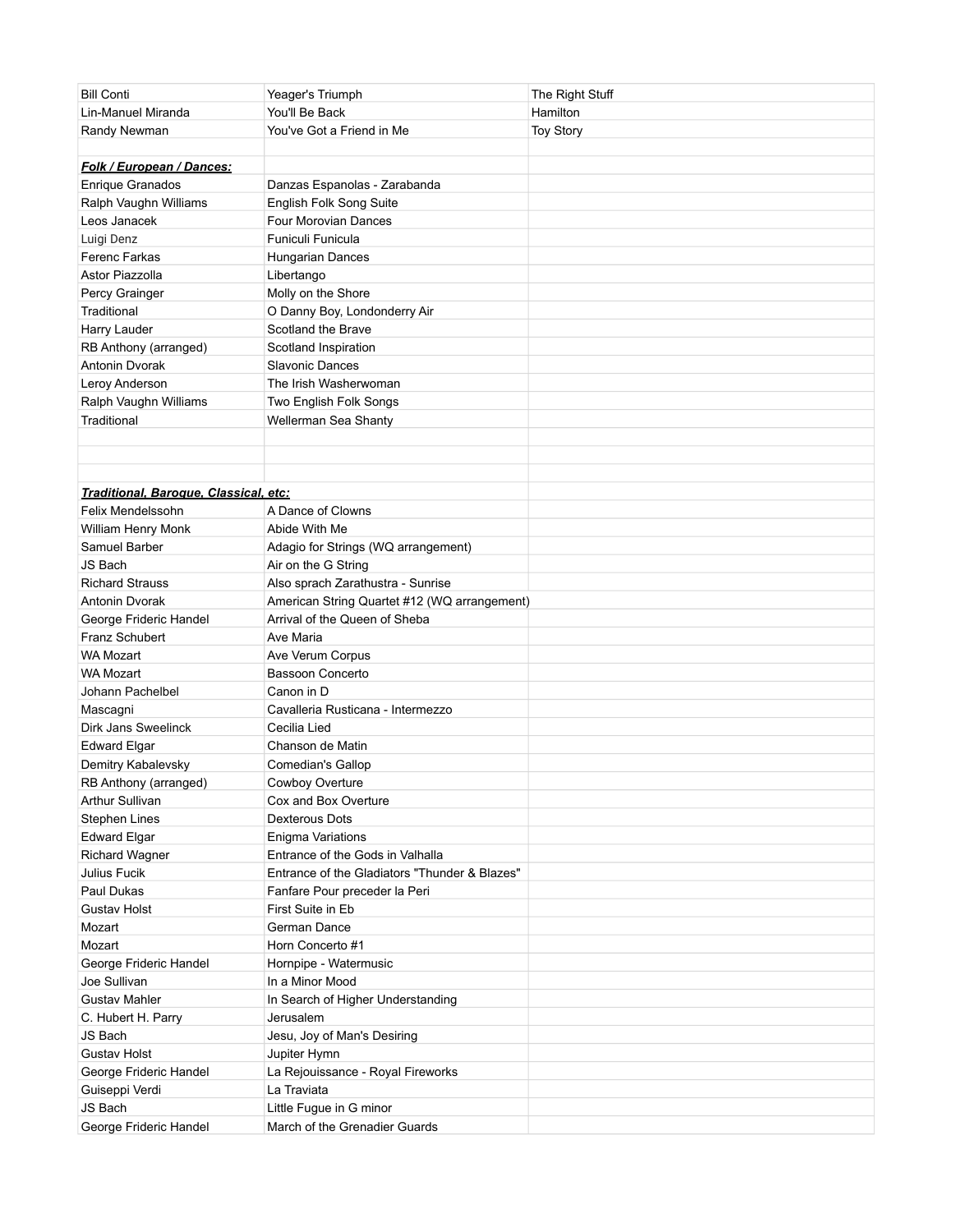| <b>Bill Conti</b>                        | Yeager's Triumph                              | The Right Stuff  |
|------------------------------------------|-----------------------------------------------|------------------|
| Lin-Manuel Miranda                       | You'll Be Back                                | Hamilton         |
| Randy Newman                             | You've Got a Friend in Me                     | <b>Toy Story</b> |
|                                          |                                               |                  |
| Folk / European / Dances:                |                                               |                  |
| <b>Enrique Granados</b>                  | Danzas Espanolas - Zarabanda                  |                  |
| Ralph Vaughn Williams                    | English Folk Song Suite                       |                  |
| Leos Janacek                             | Four Morovian Dances                          |                  |
| Luigi Denz                               | Funiculi Funicula                             |                  |
| Ferenc Farkas                            | <b>Hungarian Dances</b>                       |                  |
| Astor Piazzolla                          | Libertango                                    |                  |
| Percy Grainger                           | Molly on the Shore                            |                  |
| Traditional                              | O Danny Boy, Londonderry Air                  |                  |
| Harry Lauder                             | Scotland the Brave                            |                  |
| RB Anthony (arranged)                    | Scotland Inspiration                          |                  |
| Antonin Dvorak                           | <b>Slavonic Dances</b>                        |                  |
| Leroy Anderson                           | The Irish Washerwoman                         |                  |
| Ralph Vaughn Williams                    | Two English Folk Songs                        |                  |
| Traditional                              | Wellerman Sea Shanty                          |                  |
|                                          |                                               |                  |
|                                          |                                               |                  |
|                                          |                                               |                  |
| Traditional, Baroque, Classical, etc:    |                                               |                  |
| Felix Mendelssohn                        | A Dance of Clowns                             |                  |
| William Henry Monk                       | Abide With Me                                 |                  |
| Samuel Barber                            | Adagio for Strings (WQ arrangement)           |                  |
| JS Bach                                  | Air on the G String                           |                  |
| <b>Richard Strauss</b>                   | Also sprach Zarathustra - Sunrise             |                  |
| Antonin Dvorak                           | American String Quartet #12 (WQ arrangement)  |                  |
|                                          | Arrival of the Queen of Sheba                 |                  |
| George Frideric Handel<br>Franz Schubert | Ave Maria                                     |                  |
| WA Mozart                                |                                               |                  |
| <b>WA Mozart</b>                         | Ave Verum Corpus<br>Bassoon Concerto          |                  |
| Johann Pachelbel                         | Canon in D                                    |                  |
| Mascagni                                 | Cavalleria Rusticana - Intermezzo             |                  |
| Dirk Jans Sweelinck                      |                                               |                  |
|                                          | Cecilia Lied                                  |                  |
| <b>Edward Elgar</b>                      | Chanson de Matin                              |                  |
| Demitry Kabalevsky                       | Comedian's Gallop                             |                  |
| RB Anthony (arranged)                    | Cowboy Overture                               |                  |
| <b>Arthur Sullivan</b>                   | Cox and Box Overture                          |                  |
| Stephen Lines                            | Dexterous Dots                                |                  |
| <b>Edward Elgar</b>                      | Enigma Variations                             |                  |
| Richard Wagner                           | Entrance of the Gods in Valhalla              |                  |
| Julius Fucik                             | Entrance of the Gladiators "Thunder & Blazes" |                  |
| Paul Dukas                               | Fanfare Pour preceder la Peri                 |                  |
| Gustav Holst                             | First Suite in Eb                             |                  |
| Mozart                                   | German Dance                                  |                  |
| Mozart                                   | Horn Concerto #1                              |                  |
| George Frideric Handel                   | Hornpipe - Watermusic                         |                  |
| Joe Sullivan                             | In a Minor Mood                               |                  |
| <b>Gustav Mahler</b>                     | In Search of Higher Understanding             |                  |
| C. Hubert H. Parry                       | Jerusalem                                     |                  |
| JS Bach                                  | Jesu, Joy of Man's Desiring                   |                  |
| <b>Gustav Holst</b>                      | Jupiter Hymn                                  |                  |
| George Frideric Handel                   | La Rejouissance - Royal Fireworks             |                  |
| Guiseppi Verdi                           | La Traviata                                   |                  |
| JS Bach                                  | Little Fugue in G minor                       |                  |
| George Frideric Handel                   | March of the Grenadier Guards                 |                  |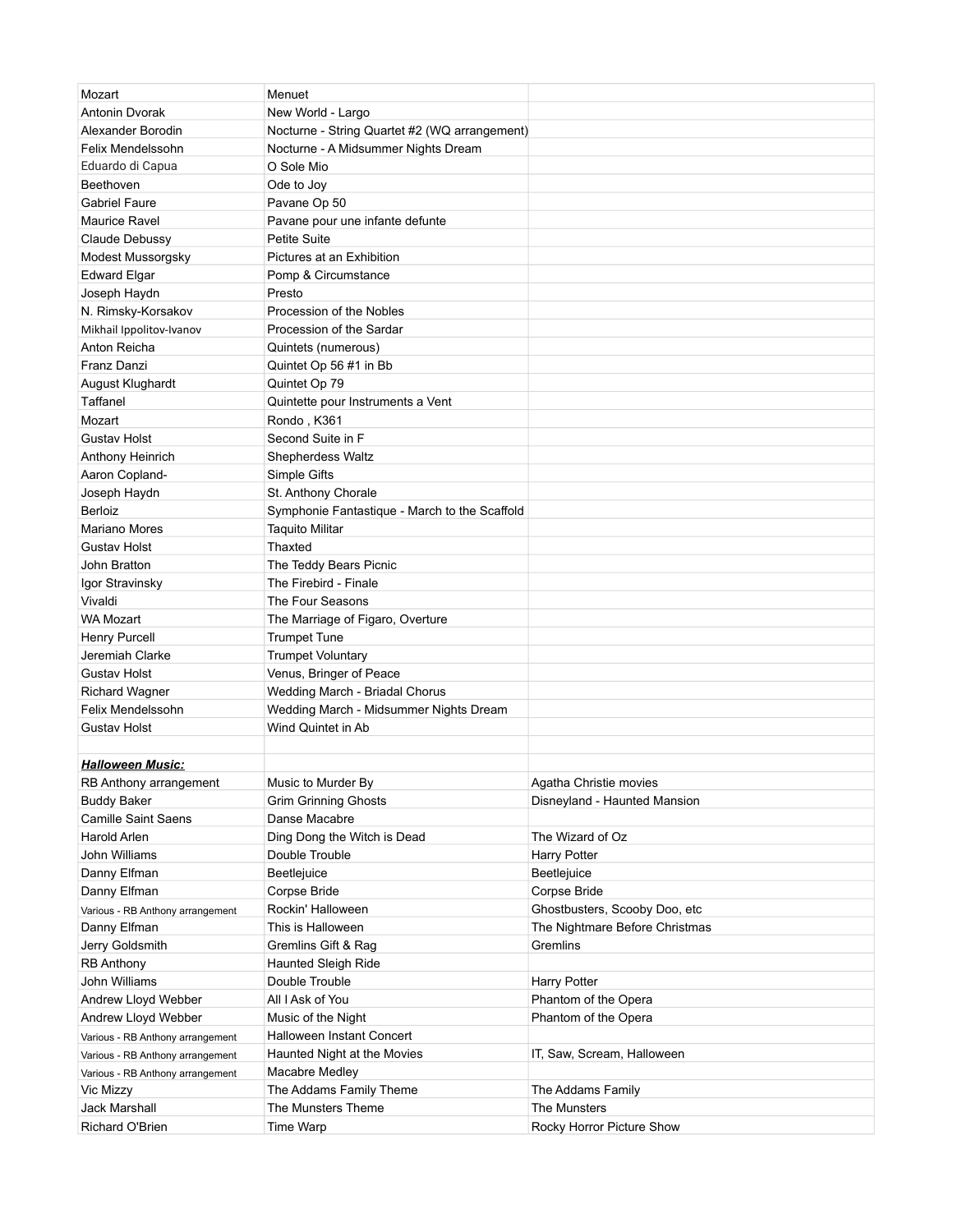| Mozart                           | Menuet                                        |                                |
|----------------------------------|-----------------------------------------------|--------------------------------|
| Antonin Dvorak                   | New World - Largo                             |                                |
| Alexander Borodin                | Nocturne - String Quartet #2 (WQ arrangement) |                                |
| Felix Mendelssohn                | Nocturne - A Midsummer Nights Dream           |                                |
| Eduardo di Capua                 | O Sole Mio                                    |                                |
| Beethoven                        | Ode to Joy                                    |                                |
| <b>Gabriel Faure</b>             | Pavane Op 50                                  |                                |
| Maurice Ravel                    | Pavane pour une infante defunte               |                                |
| Claude Debussy                   | <b>Petite Suite</b>                           |                                |
| Modest Mussorgsky                | Pictures at an Exhibition                     |                                |
| <b>Edward Elgar</b>              | Pomp & Circumstance                           |                                |
| Joseph Haydn                     | Presto                                        |                                |
| N. Rimsky-Korsakov               | Procession of the Nobles                      |                                |
| Mikhail Ippolitov-Ivanov         | Procession of the Sardar                      |                                |
| Anton Reicha                     | Quintets (numerous)                           |                                |
| Franz Danzi                      | Quintet Op 56 #1 in Bb                        |                                |
| August Klughardt                 | Quintet Op 79                                 |                                |
| Taffanel                         | Quintette pour Instruments a Vent             |                                |
| Mozart                           | Rondo, K361                                   |                                |
| Gustav Holst                     | Second Suite in F                             |                                |
| Anthony Heinrich                 | Shepherdess Waltz                             |                                |
| Aaron Copland-                   | Simple Gifts                                  |                                |
|                                  | St. Anthony Chorale                           |                                |
| Joseph Haydn                     |                                               |                                |
| Berloiz                          | Symphonie Fantastique - March to the Scaffold |                                |
| Mariano Mores                    | <b>Taquito Militar</b>                        |                                |
| Gustav Holst                     | Thaxted                                       |                                |
| John Bratton                     | The Teddy Bears Picnic                        |                                |
| Igor Stravinsky                  | The Firebird - Finale                         |                                |
| Vivaldi                          | The Four Seasons                              |                                |
| WA Mozart                        | The Marriage of Figaro, Overture              |                                |
| Henry Purcell                    | <b>Trumpet Tune</b>                           |                                |
| Jeremiah Clarke                  | <b>Trumpet Voluntary</b>                      |                                |
| <b>Gustav Holst</b>              | Venus, Bringer of Peace                       |                                |
| <b>Richard Wagner</b>            | Wedding March - Briadal Chorus                |                                |
| Felix Mendelssohn                | Wedding March - Midsummer Nights Dream        |                                |
| Gustav Holst                     | Wind Quintet in Ab                            |                                |
| <b>Halloween Music:</b>          |                                               |                                |
| RB Anthony arrangement           | Music to Murder By                            | Agatha Christie movies         |
| <b>Buddy Baker</b>               | <b>Grim Grinning Ghosts</b>                   | Disneyland - Haunted Mansion   |
| <b>Camille Saint Saens</b>       | Danse Macabre                                 |                                |
| Harold Arlen                     | Ding Dong the Witch is Dead                   | The Wizard of Oz               |
| John Williams                    | Double Trouble                                | <b>Harry Potter</b>            |
| Danny Elfman                     | Beetlejuice                                   | Beetlejuice                    |
|                                  |                                               |                                |
| Danny Elfman                     | Corpse Bride<br>Rockin' Halloween             | Corpse Bride                   |
| Various - RB Anthony arrangement |                                               | Ghostbusters, Scooby Doo, etc  |
| Danny Elfman                     | This is Halloween                             | The Nightmare Before Christmas |
| Jerry Goldsmith                  | Gremlins Gift & Rag                           | Gremlins                       |
| <b>RB Anthony</b>                | Haunted Sleigh Ride                           |                                |
| John Williams                    | Double Trouble                                | <b>Harry Potter</b>            |
| Andrew Lloyd Webber              | All I Ask of You                              | Phantom of the Opera           |
| Andrew Lloyd Webber              | Music of the Night                            | Phantom of the Opera           |
| Various - RB Anthony arrangement | Halloween Instant Concert                     |                                |
| Various - RB Anthony arrangement | Haunted Night at the Movies                   | IT, Saw, Scream, Halloween     |
| Various - RB Anthony arrangement | Macabre Medley                                |                                |
| Vic Mizzy                        | The Addams Family Theme                       | The Addams Family              |
| Jack Marshall                    | The Munsters Theme                            | The Munsters                   |
| Richard O'Brien                  | Time Warp                                     | Rocky Horror Picture Show      |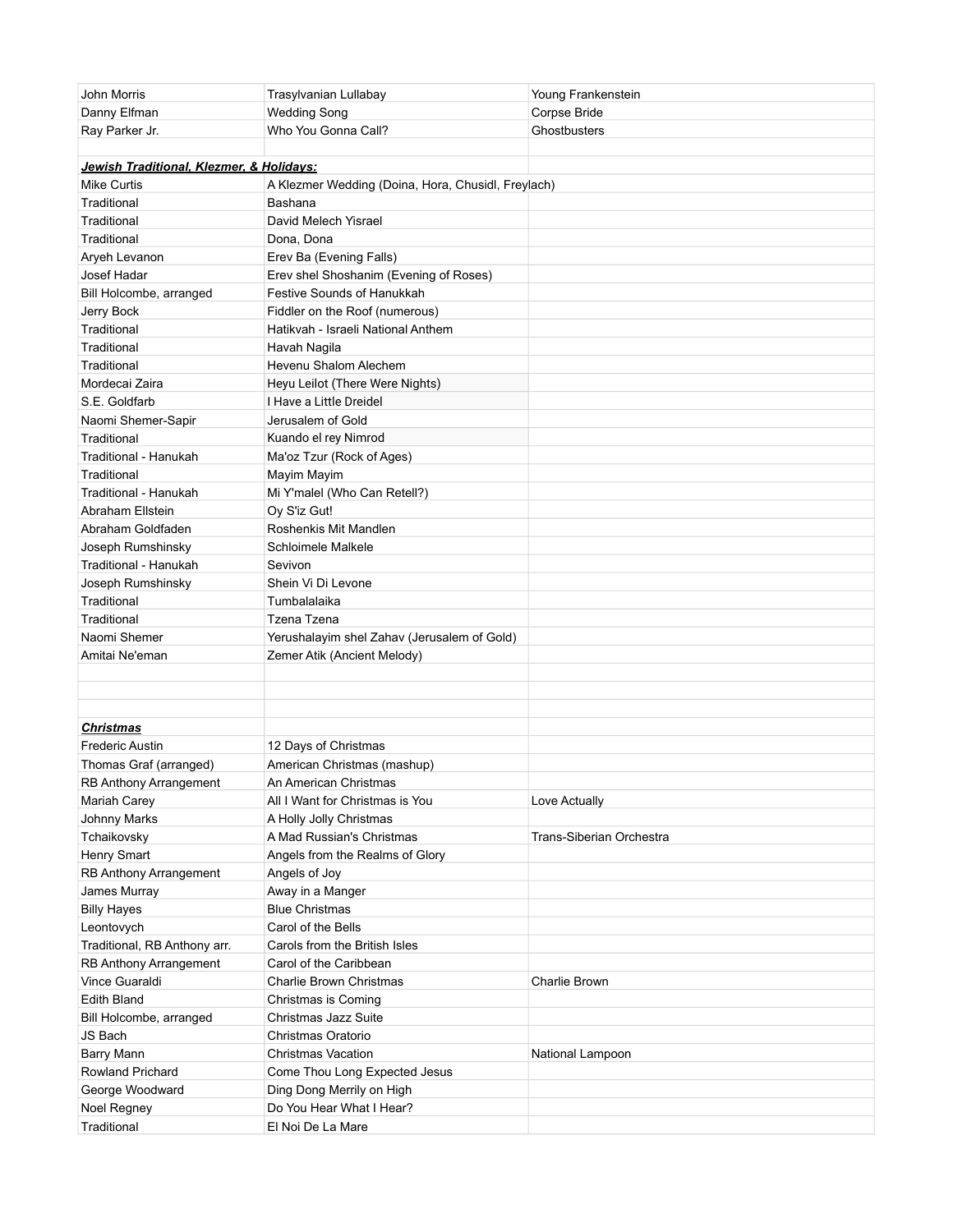| John Morris                              | Trasylvanian Lullabay                              | Young Frankenstein       |
|------------------------------------------|----------------------------------------------------|--------------------------|
| Danny Elfman                             | <b>Wedding Song</b>                                | Corpse Bride             |
| Ray Parker Jr.                           | Who You Gonna Call?                                | Ghostbusters             |
|                                          |                                                    |                          |
| Jewish Traditional, Klezmer, & Holidays: |                                                    |                          |
| <b>Mike Curtis</b>                       | A Klezmer Wedding (Doina, Hora, Chusidl, Freylach) |                          |
| Traditional                              | Bashana                                            |                          |
| Traditional                              | David Melech Yisrael                               |                          |
| Traditional                              | Dona, Dona                                         |                          |
| Aryeh Levanon                            | Erev Ba (Evening Falls)                            |                          |
| Josef Hadar                              | Erev shel Shoshanim (Evening of Roses)             |                          |
| Bill Holcombe, arranged                  | <b>Festive Sounds of Hanukkah</b>                  |                          |
| Jerry Bock                               | Fiddler on the Roof (numerous)                     |                          |
| Traditional                              | Hatikvah - Israeli National Anthem                 |                          |
| Traditional                              | Havah Nagila                                       |                          |
| Traditional                              | Hevenu Shalom Alechem                              |                          |
| Mordecai Zaira                           | Heyu Leilot (There Were Nights)                    |                          |
| S.E. Goldfarb                            | I Have a Little Dreidel                            |                          |
| Naomi Shemer-Sapir                       | Jerusalem of Gold                                  |                          |
| Traditional                              | Kuando el rey Nimrod                               |                          |
| Traditional - Hanukah                    | Ma'oz Tzur (Rock of Ages)                          |                          |
| Traditional                              | Mayim Mayim                                        |                          |
| Traditional - Hanukah                    | Mi Y'malel (Who Can Retell?)                       |                          |
| Abraham Ellstein                         | Oy S'iz Gut!                                       |                          |
| Abraham Goldfaden                        | Roshenkis Mit Mandlen                              |                          |
| Joseph Rumshinsky                        | Schloimele Malkele                                 |                          |
| Traditional - Hanukah                    | Sevivon                                            |                          |
| Joseph Rumshinsky                        | Shein Vi Di Levone                                 |                          |
| Traditional                              | Tumbalalaika                                       |                          |
| Traditional                              | Tzena Tzena                                        |                          |
| Naomi Shemer                             | Yerushalayim shel Zahav (Jerusalem of Gold)        |                          |
| Amitai Ne'eman                           | Zemer Atik (Ancient Melody)                        |                          |
|                                          |                                                    |                          |
|                                          |                                                    |                          |
|                                          |                                                    |                          |
| <u>Christmas</u>                         |                                                    |                          |
| <b>Frederic Austin</b>                   | 12 Days of Christmas                               |                          |
| Thomas Graf (arranged)                   | American Christmas (mashup)                        |                          |
| RB Anthony Arrangement                   | An American Christmas                              |                          |
| Mariah Carey                             | All I Want for Christmas is You                    | Love Actually            |
| Johnny Marks                             | A Holly Jolly Christmas                            |                          |
| Tchaikovsky                              | A Mad Russian's Christmas                          | Trans-Siberian Orchestra |
| Henry Smart                              | Angels from the Realms of Glory                    |                          |
| RB Anthony Arrangement                   | Angels of Joy                                      |                          |
| James Murray                             | Away in a Manger                                   |                          |
| <b>Billy Hayes</b>                       | <b>Blue Christmas</b>                              |                          |
| Leontovych                               | Carol of the Bells                                 |                          |
| Traditional, RB Anthony arr.             | Carols from the British Isles                      |                          |
| RB Anthony Arrangement                   | Carol of the Caribbean                             |                          |
| Vince Guaraldi                           | <b>Charlie Brown Christmas</b>                     | Charlie Brown            |
| <b>Edith Bland</b>                       | Christmas is Coming                                |                          |
| Bill Holcombe, arranged                  | Christmas Jazz Suite                               |                          |
| JS Bach                                  | Christmas Oratorio                                 |                          |
| Barry Mann                               | <b>Christmas Vacation</b>                          | National Lampoon         |
| Rowland Prichard                         | Come Thou Long Expected Jesus                      |                          |
| George Woodward                          | Ding Dong Merrily on High                          |                          |
| Noel Regney                              | Do You Hear What I Hear?                           |                          |
| Traditional                              | El Noi De La Mare                                  |                          |
|                                          |                                                    |                          |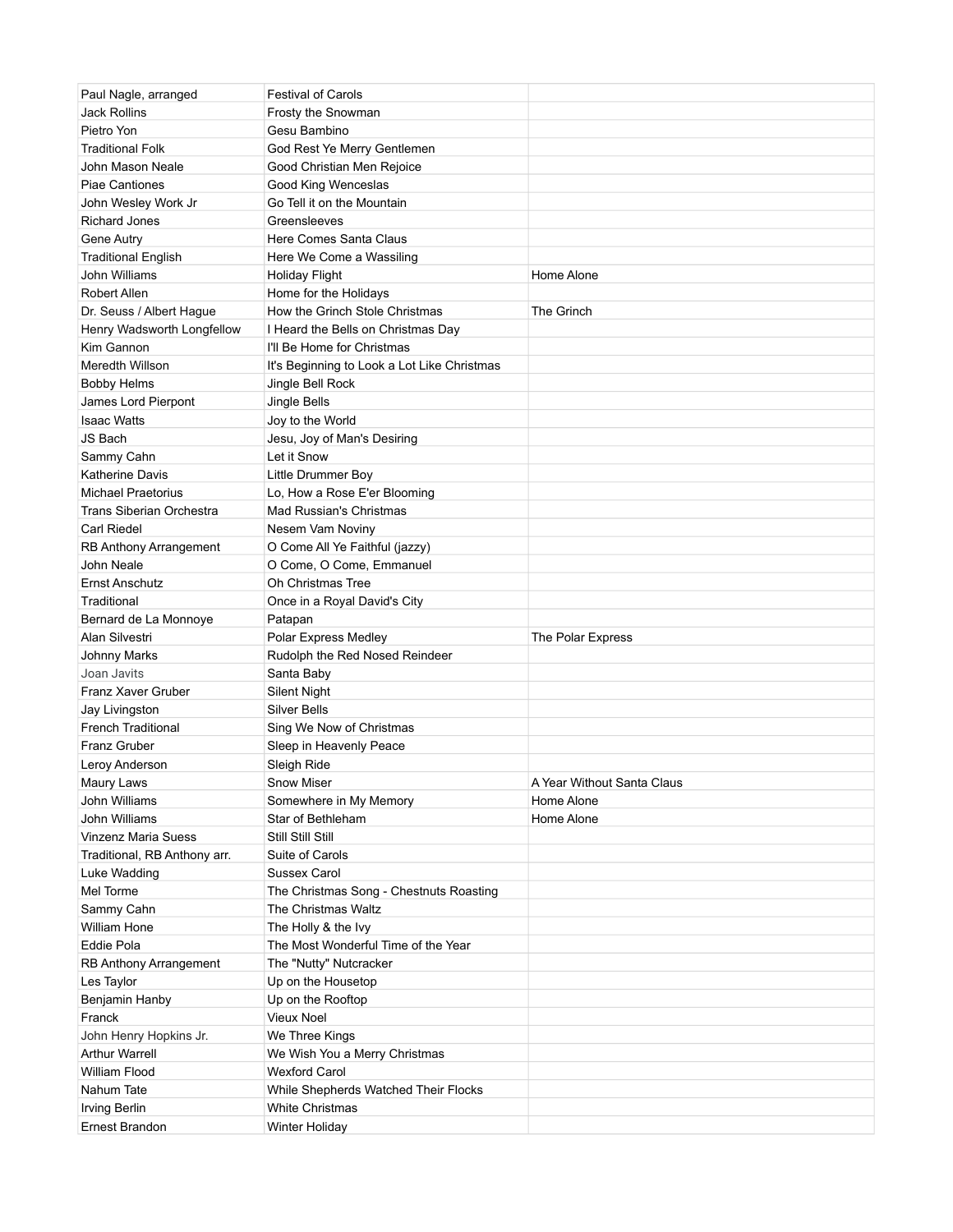| Paul Nagle, arranged            | <b>Festival of Carols</b>                                  |                            |
|---------------------------------|------------------------------------------------------------|----------------------------|
| <b>Jack Rollins</b>             | Frosty the Snowman                                         |                            |
| Pietro Yon                      | Gesu Bambino                                               |                            |
| <b>Traditional Folk</b>         | God Rest Ye Merry Gentlemen                                |                            |
| John Mason Neale                | Good Christian Men Rejoice                                 |                            |
| <b>Piae Cantiones</b>           | Good King Wenceslas                                        |                            |
| John Wesley Work Jr             | Go Tell it on the Mountain                                 |                            |
| Richard Jones                   | Greensleeves                                               |                            |
| Gene Autry                      | Here Comes Santa Claus                                     |                            |
| <b>Traditional English</b>      | Here We Come a Wassiling                                   |                            |
| John Williams                   | <b>Holiday Flight</b>                                      | Home Alone                 |
| <b>Robert Allen</b>             | Home for the Holidays                                      |                            |
| Dr. Seuss / Albert Hague        | How the Grinch Stole Christmas                             | The Grinch                 |
| Henry Wadsworth Longfellow      | I Heard the Bells on Christmas Day                         |                            |
| Kim Gannon                      | I'll Be Home for Christmas                                 |                            |
| Meredth Willson                 | It's Beginning to Look a Lot Like Christmas                |                            |
| <b>Bobby Helms</b>              | Jingle Bell Rock                                           |                            |
| James Lord Pierpont             | Jingle Bells                                               |                            |
| <b>Isaac Watts</b>              | Joy to the World                                           |                            |
| JS Bach                         | Jesu, Joy of Man's Desiring                                |                            |
| Sammy Cahn                      | Let it Snow                                                |                            |
| <b>Katherine Davis</b>          | Little Drummer Boy                                         |                            |
| <b>Michael Praetorius</b>       | Lo, How a Rose E'er Blooming                               |                            |
| <b>Trans Siberian Orchestra</b> | Mad Russian's Christmas                                    |                            |
| Carl Riedel                     |                                                            |                            |
|                                 | Nesem Vam Noviny                                           |                            |
| RB Anthony Arrangement          | O Come All Ye Faithful (jazzy)<br>O Come, O Come, Emmanuel |                            |
| John Neale                      |                                                            |                            |
| Ernst Anschutz                  | Oh Christmas Tree                                          |                            |
| Traditional                     | Once in a Royal David's City                               |                            |
| Bernard de La Monnoye           | Patapan                                                    |                            |
| Alan Silvestri                  | Polar Express Medley                                       | The Polar Express          |
| Johnny Marks                    | Rudolph the Red Nosed Reindeer                             |                            |
| Joan Javits                     | Santa Baby                                                 |                            |
| Franz Xaver Gruber              | <b>Silent Night</b>                                        |                            |
| Jay Livingston                  | Silver Bells                                               |                            |
| <b>French Traditional</b>       | Sing We Now of Christmas                                   |                            |
| Franz Gruber                    | Sleep in Heavenly Peace                                    |                            |
| Leroy Anderson                  | Sleigh Ride                                                |                            |
| Maury Laws                      | Snow Miser                                                 | A Year Without Santa Claus |
| John Williams                   |                                                            |                            |
| John Williams                   | Somewhere in My Memory                                     | Home Alone                 |
|                                 | Star of Bethleham                                          | Home Alone                 |
| <b>Vinzenz Maria Suess</b>      | Still Still Still                                          |                            |
| Traditional, RB Anthony arr.    | Suite of Carols                                            |                            |
| Luke Wadding                    | <b>Sussex Carol</b>                                        |                            |
| Mel Torme                       | The Christmas Song - Chestnuts Roasting                    |                            |
| Sammy Cahn                      | The Christmas Waltz                                        |                            |
| William Hone                    | The Holly & the Ivy                                        |                            |
| Eddie Pola                      | The Most Wonderful Time of the Year                        |                            |
| RB Anthony Arrangement          | The "Nutty" Nutcracker                                     |                            |
| Les Taylor                      | Up on the Housetop                                         |                            |
| Benjamin Hanby                  | Up on the Rooftop                                          |                            |
| Franck                          | Vieux Noel                                                 |                            |
| John Henry Hopkins Jr.          | We Three Kings                                             |                            |
| Arthur Warrell                  | We Wish You a Merry Christmas                              |                            |
| William Flood                   | <b>Wexford Carol</b>                                       |                            |
| Nahum Tate                      | While Shepherds Watched Their Flocks                       |                            |
| <b>Irving Berlin</b>            | White Christmas                                            |                            |